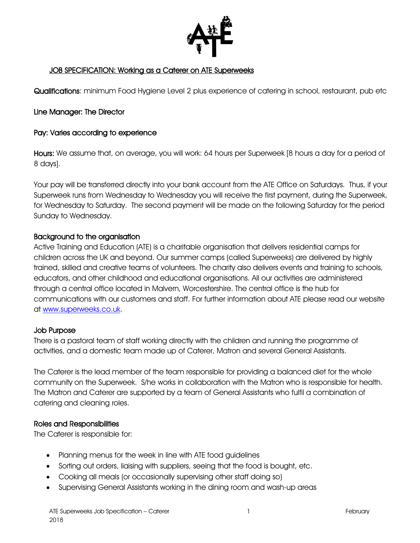

#### JOB SPECIFICATION: Working as a Caterer on ATE Superweeks

Qualifications: minimum Food Hygiene Level 2 plus experience of catering in school, restaurant, pub etc

#### Line Manager: The Director

#### Pay: Varies according to experience

Hours: We assume that, on average, you will work: 64 hours per Superweek [8 hours a day for a period of 8 days].

Your pay will be transferred directly into your bank account from the ATE Office on Saturdays. Thus, if your Superweek runs from Wednesday to Wednesday you will receive the first payment, during the Superweek, for Wednesday to Saturday. The second payment will be made on the following Saturday for the period Sunday to Wednesday.

#### Background to the organisation

Active Training and Education (ATE) is a charitable organisation that delivers residential camps for children across the UK and beyond. Our summer camps (called Superweeks) are delivered by highly trained, skilled and creative teams of volunteers. The charity also delivers events and training to schools, educators, and other childhood and educational organisations. All our activities are administered through a central office located in Malvern, Worcestershire. The central office is the hub for communications with our customers and staff. For further information about ATE please read our website at [www.superweeks.co.uk.](http://www.superweeks.co.uk/)

#### Job Purpose

There is a pastoral team of staff working directly with the children and running the programme of activities, and a domestic team made up of Caterer, Matron and several General Assistants.

The Caterer is the lead member of the team responsible for providing a balanced diet for the whole community on the Superweek. S/he works in collaboration with the Matron who is responsible for health. The Matron and Caterer are supported by a team of General Assistants who fulfil a combination of catering and cleaning roles.

#### Roles and Responsibilities

The Caterer is responsible for:

- Planning menus for the week in line with ATE food guidelines
- Sorting out orders, liaising with suppliers, seeing that the food is bought, etc.
- Cooking all meals (or occasionally supervising other staff doing so)
- Supervising General Assistants working in the dining room and wash-up areas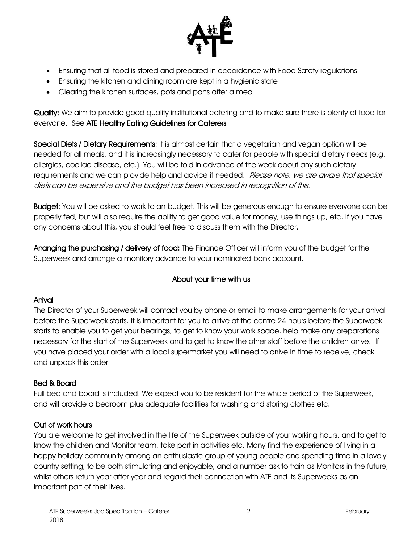

- Ensuring that all food is stored and prepared in accordance with Food Safety regulations
- Ensuring the kitchen and dining room are kept in a hygienic state
- Clearing the kitchen surfaces, pots and pans after a meal

Quality: We aim to provide good quality institutional catering and to make sure there is plenty of food for everyone. See ATE Healthy Eating Guidelines for Caterers

Special Diets / Dietary Requirements: It is almost certain that a vegetarian and vegan option will be needed for all meals, and it is increasingly necessary to cater for people with special dietary needs (e.g. allergies, coeliac disease, etc.). You will be told in advance of the week about any such dietary requirements and we can provide help and advice if needed. Please note, we are aware that special diets can be expensive and the budget has been increased in recognition of this.

Budget: You will be asked to work to an budget. This will be generous enough to ensure everyone can be properly fed, but will also require the ability to get good value for money, use things up, etc. If you have any concerns about this, you should feel free to discuss them with the Director.

Arranging the purchasing / delivery of food: The Finance Officer will inform you of the budget for the Superweek and arrange a monitory advance to your nominated bank account.

# About your time with us

### Arrival

The Director of your Superweek will contact you by phone or email to make arrangements for your arrival before the Superweek starts. It is important for you to arrive at the centre 24 hours before the Superweek starts to enable you to get your bearings, to get to know your work space, help make any preparations necessary for the start of the Superweek and to get to know the other staff before the children arrive. If you have placed your order with a local supermarket you will need to arrive in time to receive, check and unpack this order.

### Bed & Board

Full bed and board is included. We expect you to be resident for the whole period of the Superweek, and will provide a bedroom plus adequate facilities for washing and storing clothes etc.

## Out of work hours

You are welcome to get involved in the life of the Superweek outside of your working hours, and to get to know the children and Monitor team, take part in activities etc. Many find the experience of living in a happy holiday community among an enthusiastic group of young people and spending time in a lovely country setting, to be both stimulating and enjoyable, and a number ask to train as Monitors in the future, whilst others return year after year and regard their connection with ATE and its Superweeks as an important part of their lives.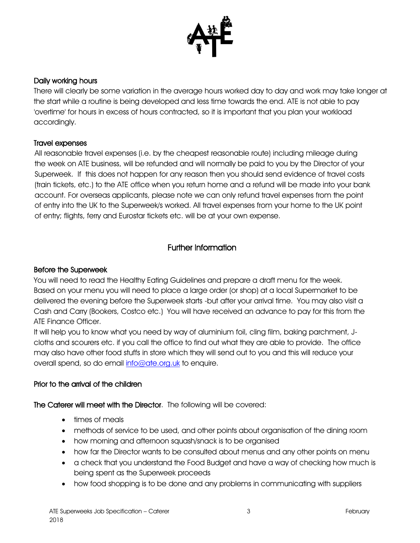

#### Daily working hours

There will clearly be some variation in the average hours worked day to day and work may take longer at the start while a routine is being developed and less time towards the end. ATE is not able to pay 'overtime' for hours in excess of hours contracted, so it is important that you plan your workload accordingly.

#### Travel expenses

All reasonable travel expenses (i.e. by the cheapest reasonable route) including mileage during the week on ATE business, will be refunded and will normally be paid to you by the Director of your Superweek. If this does not happen for any reason then you should send evidence of travel costs (train tickets, etc.) to the ATE office when you return home and a refund will be made into your bank account. For overseas applicants, please note we can only refund travel expenses from the point of entry into the UK to the Superweek/s worked. All travel expenses from your home to the UK point of entry; flights, ferry and Eurostar tickets etc. will be at your own expense.

### Further Information

#### Before the Superweek

You will need to read the Healthy Eating Guidelines and prepare a draft menu for the week. Based on your menu you will need to place a large order (or shop) at a local Supermarket to be delivered the evening before the Superweek starts -but after your arrival time. You may also visit a Cash and Carry (Bookers, Costco etc.) You will have received an advance to pay for this from the ATE Finance Officer.

It will help you to know what you need by way of aluminium foil, cling film, baking parchment, Jcloths and scourers etc. if you call the office to find out what they are able to provide. The office may also have other food stuffs in store which they will send out to you and this will reduce your overall spend, so do email [info@ate.org.uk](mailto:info@ate.org.uk) to enquire.

#### Prior to the arrival of the children

The Caterer will meet with the Director. The following will be covered:

- times of meals
- methods of service to be used, and other points about organisation of the dining room
- how morning and afternoon squash/snack is to be organised
- how far the Director wants to be consulted about menus and any other points on menu
- a check that you understand the Food Budget and have a way of checking how much is being spent as the Superweek proceeds
- how food shopping is to be done and any problems in communicating with suppliers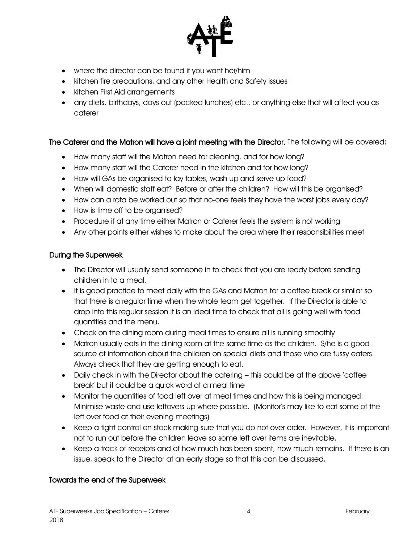

- where the director can be found if you want her/him
- kitchen fire precautions, and any other Health and Safety issues
- kitchen First Aid arrangements
- any diets, birthdays, days out (packed lunches) etc., or anything else that will affect you as caterer

### The Caterer and the Matron will have a joint meeting with the Director. The following will be covered:

- How many staff will the Matron need for cleaning, and for how long?
- How many staff will the Caterer need in the kitchen and for how long?
- How will GAs be organised to lay tables, wash up and serve up food?
- When will domestic staff eat? Before or after the children? How will this be organised?
- How can a rota be worked out so that no-one feels they have the worst jobs every day?
- How is time off to be organised?
- Procedure if at any time either Matron or Caterer feels the system is not working
- Any other points either wishes to make about the area where their responsibilities meet

#### During the Superweek

- The Director will usually send someone in to check that you are ready before sending children in to a meal.
- It is good practice to meet daily with the GAs and Matron for a coffee break or similar so that there is a regular time when the whole team get together. If the Director is able to drop into this regular session it is an ideal time to check that all is going well with food quantities and the menu.
- Check on the dining room during meal times to ensure all is running smoothly
- Matron usually eats in the dining room at the same time as the children. S/he is a good source of information about the children on special diets and those who are fussy eaters. Always check that they are getting enough to eat.
- Daily check in with the Director about the catering this could be at the above 'coffee break' but it could be a quick word at a meal time
- Monitor the quantities of food left over at meal times and how this is being managed. Minimise waste and use leftovers up where possible. (Monitor's may like to eat some of the left over food at their evening meetings)
- Keep a tight control on stock making sure that you do not over order. However, it is important not to run out before the children leave so some left over items are inevitable.
- Keep a track of receipts and of how much has been spent, how much remains. If there is an issue, speak to the Director at an early stage so that this can be discussed.

### Towards the end of the Superweek